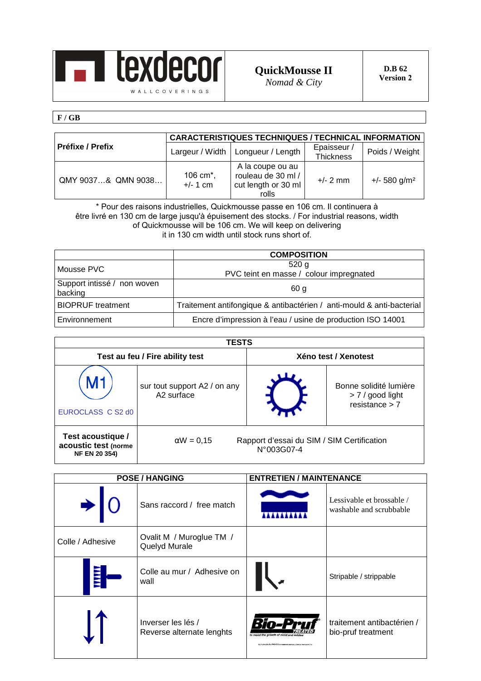

**QuickMousse II** 

**F / GB** 

|                    | <b>CARACTERISTIQUES TECHNIQUES / TECHNICAL INFORMATION</b> |                                                                        |                          |                            |
|--------------------|------------------------------------------------------------|------------------------------------------------------------------------|--------------------------|----------------------------|
| Préfixe / Prefix   | Largeur / Width                                            | Longueur / Length                                                      | Epaisseur /<br>Thickness | Poids / Weight             |
| QMY 9037& QMN 9038 | 106 cm <sup>*</sup> ,<br>$+/- 1$ cm                        | A la coupe ou au<br>rouleau de 30 ml /<br>cut length or 30 ml<br>rolls | $+/- 2$ mm               | $+/- 580$ g/m <sup>2</sup> |

\* Pour des raisons industrielles, Quickmousse passe en 106 cm. Il continuera à être livré en 130 cm de large jusqu'à épuisement des stocks. / For industrial reasons, width of Quickmousse will be 106 cm. We will keep on delivering it in 130 cm width until stock runs short of.

|                                        | <b>COMPOSITION</b>                                                    |
|----------------------------------------|-----------------------------------------------------------------------|
| Mousse PVC                             | 520 g<br>PVC teint en masse / colour impregnated                      |
| Support intissé / non woven<br>backing | 60 a                                                                  |
| <b>BIOPRUF</b> treatment               | Traitement antifongique & antibactérien / anti-mould & anti-bacterial |
| Environnement                          | Encre d'impression à l'eau / usine de production ISO 14001            |

| <b>TESTS</b>                                                      |                                                                               |  |                                                                  |
|-------------------------------------------------------------------|-------------------------------------------------------------------------------|--|------------------------------------------------------------------|
|                                                                   | Test au feu / Fire ability test                                               |  | Xéno test / Xenotest                                             |
| EUROCLASS C S2 d0                                                 | sur tout support A2 / on any<br>A <sub>2</sub> surface                        |  | Bonne solidité lumière<br>$> 7$ / good light<br>resistance $> 7$ |
| Test acoustique /<br>acoustic test (norme<br><b>NF EN 20 354)</b> | $\alpha W = 0.15$<br>Rapport d'essai du SIM / SIM Certification<br>N°003G07-4 |  |                                                                  |

|                  | <b>POSE / HANGING</b>                           | <b>ENTRETIEN / MAINTENANCE</b>                                                                                                               |                                                      |
|------------------|-------------------------------------------------|----------------------------------------------------------------------------------------------------------------------------------------------|------------------------------------------------------|
|                  | Sans raccord / free match                       |                                                                                                                                              | Lessivable et brossable /<br>washable and scrubbable |
| Colle / Adhesive | Ovalit M / Muroglue TM /<br>Quelyd Murale       |                                                                                                                                              |                                                      |
| Ē                | Colle au mur / Adhesive on<br>wall              |                                                                                                                                              | Stripable / strippable                               |
|                  | Inverser les lés /<br>Reverse alternate lenghts | Rio-l<br>Pruf<br>to resist the growth of mold and milder<br>Die Profensible Rrei TREATED am regelered mademarks er bibries International. In | traitement antibactérien /<br>bio-pruf treatment     |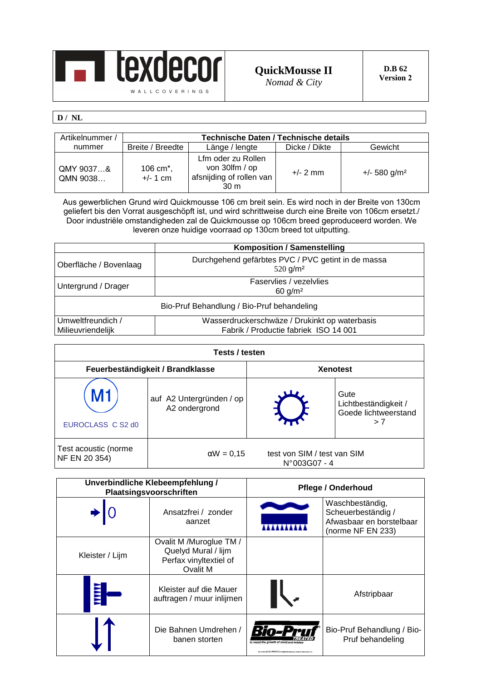

## **D / NL**

| Artikelnummer /       | Technische Daten / Technische details |                                                                                     |               |                            |
|-----------------------|---------------------------------------|-------------------------------------------------------------------------------------|---------------|----------------------------|
| nummer                | Breite / Breedte                      | Länge / lengte                                                                      | Dicke / Dikte | Gewicht                    |
| QMY 9037&<br>QMN 9038 | 106 cm $^*$ ,<br>$+/- 1$ cm           | Lfm oder zu Rollen<br>von 30lfm / op<br>afsnijding of rollen van<br>30 <sub>m</sub> | $+/- 2$ mm    | $+/- 580$ g/m <sup>2</sup> |

Aus gewerblichen Grund wird Quickmousse 106 cm breit sein. Es wird noch in der Breite von 130cm geliefert bis den Vorrat ausgeschöpft ist, und wird schrittweise durch eine Breite von 106cm ersetzt./ Door industriële omstandigheden zal de Quickmousse op 106cm breed geproduceerd worden. We leveren onze huidige voorraad op 130cm breed tot uitputting.

|                                                             | <b>Komposition / Samenstelling</b>                                                     |
|-------------------------------------------------------------|----------------------------------------------------------------------------------------|
| Oberfläche / Bovenlaag                                      | Durchgehend gefärbtes PVC / PVC getint in de massa<br>$520$ g/m <sup>2</sup>           |
| Faservlies / vezelvlies<br>Untergrund / Drager<br>60 $g/m2$ |                                                                                        |
| Bio-Pruf Behandlung / Bio-Pruf behandeling                  |                                                                                        |
| Umweltfreundich /<br>Milieuvriendelijk                      | Wasserdruckerschwäze / Drukinkt op waterbasis<br>Fabrik / Productie fabriek ISO 14 001 |

| Tests / testen                        |                                           |                                                      |                                                             |  |
|---------------------------------------|-------------------------------------------|------------------------------------------------------|-------------------------------------------------------------|--|
|                                       | Feuerbeständigkeit / Brandklasse          |                                                      | <b>Xenotest</b>                                             |  |
| EUROCLASS C S2 d0                     | auf A2 Untergründen / op<br>A2 ondergrond |                                                      | Gute<br>Lichtbeständigkeit /<br>Goede lichtweerstand<br>> 7 |  |
| Test acoustic (norme<br>NF EN 20 354) | $\alpha W = 0,15$                         | test von SIM / test van SIM<br>$N^{\circ}003G07 - 4$ |                                                             |  |

| Unverbindliche Klebeempfehlung /<br>Plaatsingsvoorschriften |                                                                                      | <b>Pflege / Onderhoud</b>                                                                                                            |                                                                                        |
|-------------------------------------------------------------|--------------------------------------------------------------------------------------|--------------------------------------------------------------------------------------------------------------------------------------|----------------------------------------------------------------------------------------|
|                                                             | Ansatzfrei / zonder<br>aanzet                                                        |                                                                                                                                      | Waschbeständig,<br>Scheuerbeständig /<br>Afwasbaar en borstelbaar<br>(norme NF EN 233) |
| Kleister / Lijm                                             | Ovalit M /Muroglue TM /<br>Quelyd Mural / lijm<br>Perfax vinyltextiel of<br>Ovalit M |                                                                                                                                      |                                                                                        |
| YYYY                                                        | Kleister auf die Mauer<br>auftragen / muur inlijmen                                  |                                                                                                                                      | Afstripbaar                                                                            |
|                                                             | Die Bahnen Umdrehen /<br>banen storten                                               | Bio-l<br>to resist the growth of mold and milder<br>Buy Profession Pro TREATED are requirement redempts at Marice Interventional, In | Bio-Pruf Behandlung / Bio-<br>Pruf behandeling                                         |